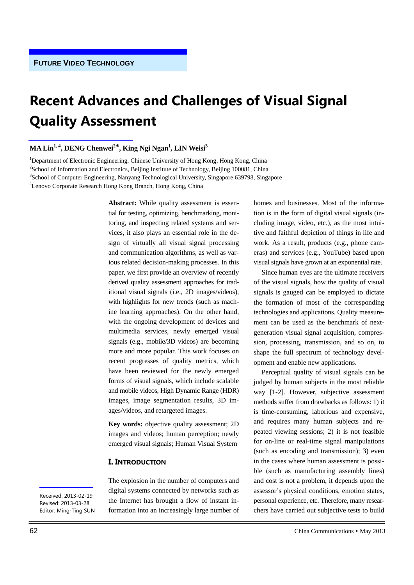# **Recent Advances and Challenges of Visual Signal Quality Assessment**

# **MA Lin1, 4, DENG Chenwei2\*, King Ngi Ngan1 , LIN Weisi3**

<sup>1</sup>Department of Electronic Engineering, Chinese University of Hong Kong, Hong Kong, China <sup>2</sup>Sebool of Information and Electronics, Beijing Institute of Technology, Beijing 100021, China  $\textsuperscript{2}$ School of Information and Electronics, Beijing Institute of Technology, Beijing 100081, China <sup>3</sup>School of Computer Engineering, Nanyang Technological University, Singapore 639798, Singapore Lenovo Corporate Research Hong Kong Branch, Hong Kong, China

> **Abstract:** While quality assessment is essential for testing, optimizing, benchmarking, monitoring, and inspecting related systems and services, it also plays an essential role in the design of virtually all visual signal processing and communication algorithms, as well as various related decision-making processes. In this paper, we first provide an overview of recently derived quality assessment approaches for traditional visual signals (i.e., 2D images/videos), with highlights for new trends (such as machine learning approaches). On the other hand, with the ongoing development of devices and multimedia services, newly emerged visual signals (e.g., mobile/3D videos) are becoming more and more popular. This work focuses on recent progresses of quality metrics, which have been reviewed for the newly emerged forms of visual signals, which include scalable and mobile videos, High Dynamic Range (HDR) images, image segmentation results, 3D images/videos, and retargeted images.

> **Key words:** objective quality assessment; 2D images and videos; human perception; newly emerged visual signals; Human Visual System

#### **I. INTRODUCTION**

Received: 2013-02-19 Revised: 2013-03-28 Editor: Ming-Ting SUN The explosion in the number of computers and digital systems connected by networks such as the Internet has brought a flow of instant information into an increasingly large number of homes and businesses. Most of the information is in the form of digital visual signals (including image, video, etc.), as the most intuitive and faithful depiction of things in life and work. As a result, products (e.g., phone cameras) and services (e.g., YouTube) based upon visual signals have grown at an exponential rate.

Since human eyes are the ultimate receivers of the visual signals, how the quality of visual signals is gauged can be employed to dictate the formation of most of the corresponding technologies and applications. Quality measurement can be used as the benchmark of nextgeneration visual signal acquisition, compression, processing, transmission, and so on, to shape the full spectrum of technology development and enable new applications.

Perceptual quality of visual signals can be judged by human subjects in the most reliable way [1-2]. However, subjective assessment methods suffer from drawbacks as follows: 1) it is time-consuming, laborious and expensive, and requires many human subjects and repeated viewing sessions; 2) it is not feasible for on-line or real-time signal manipulations (such as encoding and transmission); 3) even in the cases where human assessment is possible (such as manufacturing assembly lines) and cost is not a problem, it depends upon the assessor's physical conditions, emotion states, personal experience, etc. Therefore, many researchers have carried out subjective tests to build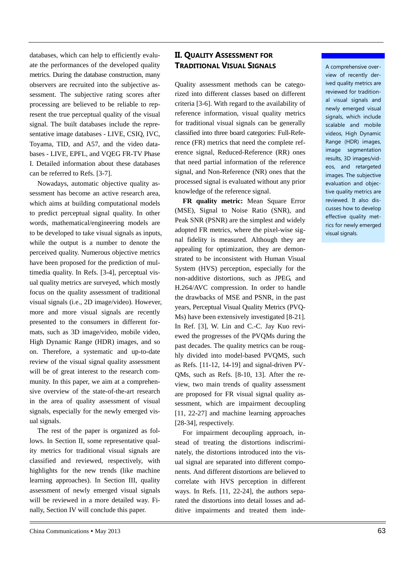databases, which can help to efficiently evaluate the performances of the developed quality metrics. During the database construction, many observers are recruited into the subjective assessment. The subjective rating scores after processing are believed to be reliable to represent the true perceptual quality of the visual signal. The built databases include the representative image databases - LIVE, CSIQ, IVC, Toyama, TID, and A57, and the video databases - LIVE, EPFL, and VQEG FR-TV Phase I. Detailed information about these databases can be referred to Refs. [3-7].

Nowadays, automatic objective quality assessment has become an active research area, which aims at building computational models to predict perceptual signal quality. In other words, mathematical/engineering models are to be developed to take visual signals as inputs, while the output is a number to denote the perceived quality. Numerous objective metrics have been proposed for the prediction of multimedia quality. In Refs. [3-4], perceptual visual quality metrics are surveyed, which mostly focus on the quality assessment of traditional visual signals (i.e., 2D image/video). However, more and more visual signals are recently presented to the consumers in different formats, such as 3D image/video, mobile video, High Dynamic Range (HDR) images, and so on. Therefore, a systematic and up-to-date review of the visual signal quality assessment will be of great interest to the research community. In this paper, we aim at a comprehensive overview of the state-of-the-art research in the area of quality assessment of visual signals, especially for the newly emerged visual signals.

The rest of the paper is organized as follows. In Section II, some representative quality metrics for traditional visual signals are classified and reviewed, respectively, with highlights for the new trends (like machine learning approaches). In Section III, quality assessment of newly emerged visual signals will be reviewed in a more detailed way. Finally, Section IV will conclude this paper.

# **II. QUALITY ASSESSMENT FOR TRADITIONAL VISUAL SIGNALS**

Quality assessment methods can be categorized into different classes based on different criteria [3-6]. With regard to the availability of reference information, visual quality metrics for traditional visual signals can be generally classified into three board categories: Full-Reference (FR) metrics that need the complete reference signal, Reduced-Reference (RR) ones that need partial information of the reference signal, and Non-Reference (NR) ones that the processed signal is evaluated without any prior knowledge of the reference signal.

**FR quality metric:** Mean Square Error (MSE), Signal to Noise Ratio (SNR), and Peak SNR (PSNR) are the simplest and widely adopted FR metrics, where the pixel-wise signal fidelity is measured. Although they are appealing for optimization, they are demonstrated to be inconsistent with Human Visual System (HVS) perception, especially for the non-additive distortions, such as JPEG, and H.264/AVC compression. In order to handle the drawbacks of MSE and PSNR, in the past years, Perceptual Visual Quality Metrics (PVQ-Ms) have been extensively investigated [8-21]. In Ref. [3], W. Lin and C.-C. Jay Kuo reviewed the progresses of the PVQMs during the past decades. The quality metrics can be roughly divided into model-based PVQMS, such as Refs. [11-12, 14-19] and signal-driven PV-QMs, such as Refs. [8-10, 13]. After the review, two main trends of quality assessment are proposed for FR visual signal quality assessment, which are impairment decoupling [11, 22-27] and machine learning approaches [28-34], respectively.

For impairment decoupling approach, instead of treating the distortions indiscriminately, the distortions introduced into the visual signal are separated into different components. And different distortions are believed to correlate with HVS perception in different ways. In Refs. [11, 22-24], the authors separated the distortions into detail losses and additive impairments and treated them indeA comprehensive overview of recently derived quality metrics are reviewed for traditional visual signals and newly emerged visual signals, which include scalable and mobile videos, High Dynamic Range (HDR) images, image segmentation results, 3D images/videos, and retargeted images. The subjective evaluation and objective quality metrics are reviewed. It also discusses how to develop effective quality metrics for newly emerged visual signals.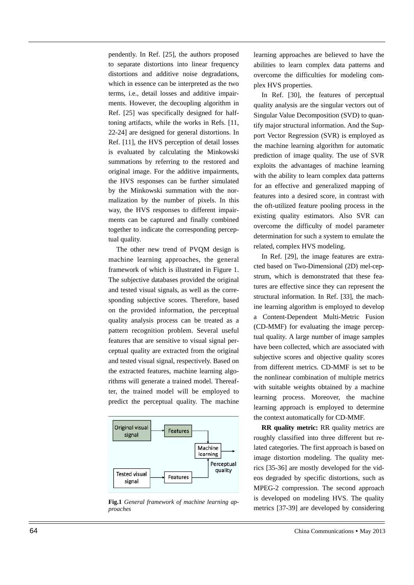pendently. In Ref. [25], the authors proposed to separate distortions into linear frequency distortions and additive noise degradations, which in essence can be interpreted as the two terms, i.e., detail losses and additive impairments. However, the decoupling algorithm in Ref. [25] was specifically designed for halftoning artifacts, while the works in Refs. [11, 22-24] are designed for general distortions. In Ref. [11], the HVS perception of detail losses is evaluated by calculating the Minkowski summations by referring to the restored and original image. For the additive impairments, the HVS responses can be further simulated by the Minkowski summation with the normalization by the number of pixels. In this way, the HVS responses to different impairments can be captured and finally combined together to indicate the corresponding perceptual quality.

The other new trend of PVQM design is machine learning approaches, the general framework of which is illustrated in Figure 1. The subjective databases provided the original and tested visual signals, as well as the corresponding subjective scores. Therefore, based on the provided information, the perceptual quality analysis process can be treated as a pattern recognition problem. Several useful features that are sensitive to visual signal perceptual quality are extracted from the original and tested visual signal, respectively. Based on the extracted features, machine learning algorithms will generate a trained model. Thereafter, the trained model will be employed to predict the perceptual quality. The machine



**Fig.1** *General framework of machine learning approaches*

learning approaches are believed to have the abilities to learn complex data patterns and overcome the difficulties for modeling complex HVS properties.

In Ref. [30], the features of perceptual quality analysis are the singular vectors out of Singular Value Decomposition (SVD) to quantify major structural information. And the Support Vector Regression (SVR) is employed as the machine learning algorithm for automatic prediction of image quality. The use of SVR exploits the advantages of machine learning with the ability to learn complex data patterns for an effective and generalized mapping of features into a desired score, in contrast with the oft-utilized feature pooling process in the existing quality estimators. Also SVR can overcome the difficulty of model parameter determination for such a system to emulate the related, complex HVS modeling.

In Ref. [29], the image features are extracted based on Two-Dimensional (2D) mel-cepstrum, which is demonstrated that these features are effective since they can represent the structural information. In Ref. [33], the machine learning algorithm is employed to develop a Content-Dependent Multi-Metric Fusion (CD-MMF) for evaluating the image perceptual quality. A large number of image samples have been collected, which are associated with subjective scores and objective quality scores from different metrics. CD-MMF is set to be the nonlinear combination of multiple metrics with suitable weights obtained by a machine learning process. Moreover, the machine learning approach is employed to determine the context automatically for CD-MMF.

**RR quality metric:** RR quality metrics are roughly classified into three different but related categories. The first approach is based on image distortion modeling. The quality metrics [35-36] are mostly developed for the videos degraded by specific distortions, such as MPEG-2 compression. The second approach is developed on modeling HVS. The quality metrics [37-39] are developed by considering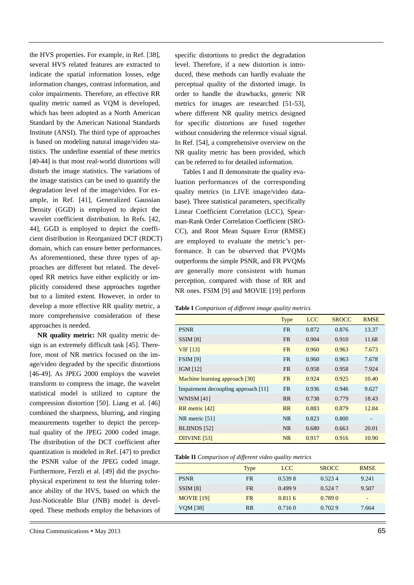the HVS properties. For example, in Ref. [38], several HVS related features are extracted to indicate the spatial information losses, edge information changes, contrast information, and color impairments. Therefore, an effective RR quality metric named as VQM is developed, which has been adopted as a North American Standard by the American National Standards Institute (ANSI). The third type of approaches is based on modeling natural image/video statistics. The underline essential of these metrics [40-44] is that most real-world distortions will disturb the image statistics. The variations of the image statistics can be used to quantify the degradation level of the image/video. For example, in Ref. [41], Generalized Gaussian Density (GGD) is employed to depict the wavelet coefficient distribution. In Refs. [42, 44], GGD is employed to depict the coefficient distribution in Reorganized DCT (RDCT) domain, which can ensure better performances. As aforementioned, these three types of approaches are different but related. The developed RR metrics have either explicitly or implicitly considered these approaches together but to a limited extent. However, in order to develop a more effective RR quality metric, a more comprehensive consideration of these approaches is needed.

**NR quality metric:** NR quality metric design is an extremely difficult task [45]. Therefore, most of NR metrics focused on the image/video degraded by the specific distortions [46-49]. As JPEG 2000 employs the wavelet transform to compress the image, the wavelet statistical model is utilized to capture the compression distortion [50]. Liang et al. [46] combined the sharpness, blurring, and ringing measurements together to depict the perceptual quality of the JPEG 2000 coded image. The distribution of the DCT coefficient after quantization is modeled in Ref. [47] to predict the PSNR value of the JPEG coded image. Furthermore, Ferzli et al. [49] did the psychophysical experiment to test the blurring tolerance ability of the HVS, based on which the Just-Noticeable Blur (JNB) model is developed. These methods employ the behaviors of

specific distortions to predict the degradation level. Therefore, if a new distortion is introduced, these methods can hardly evaluate the perceptual quality of the distorted image. In order to handle the drawbacks, generic NR metrics for images are researched [51-53], where different NR quality metrics designed for specific distortions are fused together without considering the reference visual signal. In Ref. [54], a comprehensive overview on the NR quality metric has been provided, which can be referred to for detailed information.

Tables I and II demonstrate the quality evaluation performances of the corresponding quality metrics (in LIVE image/video database). Three statistical parameters, specifically Linear Coefficient Correlation (LCC), Spearman-Rank Order Correlation Coefficient (SRO-CC), and Root Mean Square Error (RMSE) are employed to evaluate the metric's performance. It can be observed that PVQMs outperforms the simple PSNR, and FR PVQMs are generally more consistent with human perception, compared with those of RR and NR ones. FSIM [9] and MOVIE [19] perform

|  | Table I Comparison of different image quality metrics |  |  |  |  |  |
|--|-------------------------------------------------------|--|--|--|--|--|
|--|-------------------------------------------------------|--|--|--|--|--|

|                                     | <b>Type</b> | <b>LCC</b> | <b>SROCC</b> | <b>RMSE</b> |
|-------------------------------------|-------------|------------|--------------|-------------|
| <b>PSNR</b>                         | <b>FR</b>   | 0.872      | 0.876        | 13.37       |
| <b>SSIM [8]</b>                     | <b>FR</b>   | 0.904      | 0.910        | 11.68       |
| <b>VIF</b> [13]                     | <b>FR</b>   | 0.960      | 0.963        | 7.673       |
| <b>FSIM [9]</b>                     | <b>FR</b>   | 0.960      | 0.963        | 7.678       |
| IGM $[12]$                          | <b>FR</b>   | 0.958      | 0.958        | 7.924       |
| Machine learning approach [30]      | <b>FR</b>   | 0.924      | 0.925        | 10.40       |
| Impairment decoupling approach [11] | <b>FR</b>   | 0.936      | 0.946        | 9.627       |
| <b>WNISM</b> [41]                   | <b>RR</b>   | 0.738      | 0.779        | 18.43       |
| RR metric [42]                      | <b>RR</b>   | 0.883      | 0.879        | 12.84       |
| NR metric [51]                      | NR.         | 0.823      | 0.800        |             |
| BLIINDS [52]                        | NR          | 0.680      | 0.663        | 20.01       |
| <b>DIIVINE [53]</b>                 | <b>NR</b>   | 0.917      | 0.916        | 10.90       |

#### **Table II** *Comparison of different video quality metrics*

|                   | <b>Type</b> | <b>LCC</b> | <b>SROCC</b> | <b>RMSE</b>              |
|-------------------|-------------|------------|--------------|--------------------------|
| <b>PSNR</b>       | FR          | 0.5398     | 0.5234       | 9.241                    |
| SSIM [8]          | <b>FR</b>   | 0.499.9    | 0.524.7      | 9.507                    |
| <b>MOVIE</b> [19] | <b>FR</b>   | 0.8116     | 0.7890       | $\overline{\phantom{0}}$ |
| VOM [38]          | <b>RR</b>   | 0.7160     | 0.7029       | 7.664                    |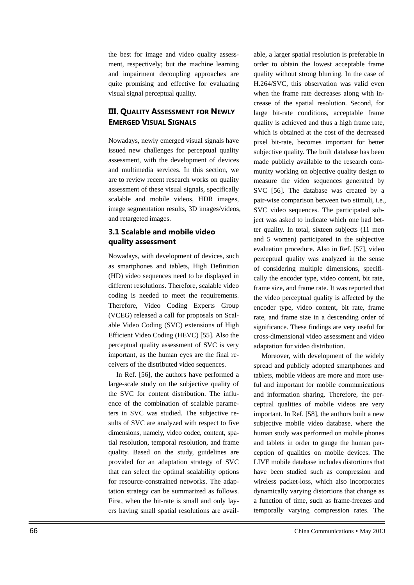the best for image and video quality assessment, respectively; but the machine learning and impairment decoupling approaches are quite promising and effective for evaluating visual signal perceptual quality.

# **III. QUALITY ASSESSMENT FOR NEWLY EMERGED VISUAL SIGNALS**

Nowadays, newly emerged visual signals have issued new challenges for perceptual quality assessment, with the development of devices and multimedia services. In this section, we are to review recent research works on quality assessment of these visual signals, specifically scalable and mobile videos, HDR images, image segmentation results, 3D images/videos, and retargeted images.

# **3.1 Scalable and mobile video quality assessment**

Nowadays, with development of devices, such as smartphones and tablets, High Definition (HD) video sequences need to be displayed in different resolutions. Therefore, scalable video coding is needed to meet the requirements. Therefore, Video Coding Experts Group (VCEG) released a call for proposals on Scalable Video Coding (SVC) extensions of High Efficient Video Coding (HEVC) [55]. Also the perceptual quality assessment of SVC is very important, as the human eyes are the final receivers of the distributed video sequences.

In Ref. [56], the authors have performed a large-scale study on the subjective quality of the SVC for content distribution. The influence of the combination of scalable parameters in SVC was studied. The subjective results of SVC are analyzed with respect to five dimensions, namely, video codec, content, spatial resolution, temporal resolution, and frame quality. Based on the study, guidelines are provided for an adaptation strategy of SVC that can select the optimal scalability options for resource-constrained networks. The adaptation strategy can be summarized as follows. First, when the bit-rate is small and only layers having small spatial resolutions are available, a larger spatial resolution is preferable in order to obtain the lowest acceptable frame quality without strong blurring. In the case of H.264/SVC, this observation was valid even when the frame rate decreases along with increase of the spatial resolution. Second, for large bit-rate conditions, acceptable frame quality is achieved and thus a high frame rate, which is obtained at the cost of the decreased pixel bit-rate, becomes important for better subjective quality. The built database has been made publicly available to the research community working on objective quality design to measure the video sequences generated by SVC [56]. The database was created by a pair-wise comparison between two stimuli, i.e., SVC video sequences. The participated subject was asked to indicate which one had better quality. In total, sixteen subjects (11 men and 5 women) participated in the subjective evaluation procedure. Also in Ref. [57], video perceptual quality was analyzed in the sense of considering multiple dimensions, specifically the encoder type, video content, bit rate, frame size, and frame rate. It was reported that the video perceptual quality is affected by the encoder type, video content, bit rate, frame rate, and frame size in a descending order of significance. These findings are very useful for cross-dimensional video assessment and video adaptation for video distribution.

Moreover, with development of the widely spread and publicly adopted smartphones and tablets, mobile videos are more and more useful and important for mobile communications and information sharing. Therefore, the perceptual qualities of mobile videos are very important. In Ref. [58], the authors built a new subjective mobile video database, where the human study was performed on mobile phones and tablets in order to gauge the human perception of qualities on mobile devices. The LIVE mobile database includes distortions that have been studied such as compression and wireless packet-loss, which also incorporates dynamically varying distortions that change as a function of time, such as frame-freezes and temporally varying compression rates. The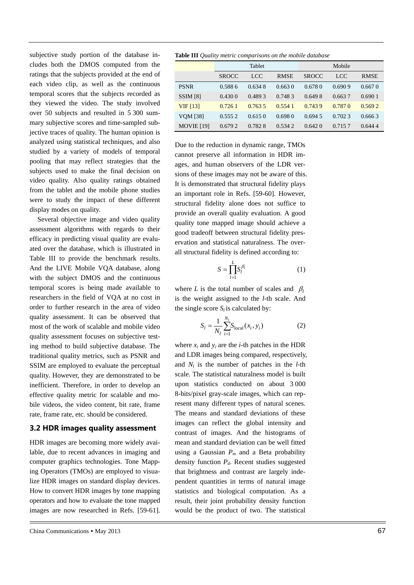subjective study portion of the database includes both the DMOS computed from the ratings that the subjects provided at the end of each video clip, as well as the continuous temporal scores that the subjects recorded as they viewed the video. The study involved over 50 subjects and resulted in 5 300 summary subjective scores and time-sampled subjective traces of quality. The human opinion is analyzed using statistical techniques, and also studied by a variety of models of temporal pooling that may reflect strategies that the subjects used to make the final decision on video quality. Also quality ratings obtained from the tablet and the mobile phone studies were to study the impact of these different display modes on quality.

Several objective image and video quality assessment algorithms with regards to their efficacy in predicting visual quality are evaluated over the database, which is illustrated in Table III to provide the benchmark results. And the LIVE Mobile VQA database, along with the subject DMOS and the continuous temporal scores is being made available to researchers in the field of VQA at no cost in order to further research in the area of video quality assessment. It can be observed that most of the work of scalable and mobile video quality assessment focuses on subjective testing method to build subjective database. The traditional quality metrics, such as PSNR and SSIM are employed to evaluate the perceptual quality. However, they are demonstrated to be inefficient. Therefore, in order to develop an effective quality metric for scalable and mobile videos, the video content, bit rate, frame rate, frame rate, etc. should be considered.

## **3.2 HDR images quality assessment**

HDR images are becoming more widely available, due to recent advances in imaging and computer graphics technologies. Tone Mapping Operators (TMOs) are employed to visualize HDR images on standard display devices. How to convert HDR images by tone mapping operators and how to evaluate the tone mapped images are now researched in Refs. [59-61].

**Table III** *Quality metric comparisons on the mobile database*

|                   | Tablet       |        |             | Mobile       |         |             |
|-------------------|--------------|--------|-------------|--------------|---------|-------------|
|                   | <b>SROCC</b> | LCC.   | <b>RMSE</b> | <b>SROCC</b> | LCC.    | <b>RMSE</b> |
| <b>PSNR</b>       | 0.5886       | 0.6348 | 0.6630      | 0.6780       | 0.6909  | 0.6670      |
| <b>SSIM [8]</b>   | 0.4300       | 0.4893 | 0.7483      | 0.6498       | 0.6637  | 0.6901      |
| <b>VIF</b> [13]   | 0.7261       | 0.7635 | 0.5541      | 0.7439       | 0.7870  | 0.5692      |
| <b>VOM [38]</b>   | 0.5552       | 0.6150 | 0.6980      | 0.6945       | 0.702.3 | 0.6663      |
| <b>MOVIE</b> [19] | 0.6792       | 0.7828 | 0.534 2     | 0.6420       | 0.715.7 | 0.6444      |

Due to the reduction in dynamic range, TMOs cannot preserve all information in HDR images, and human observers of the LDR versions of these images may not be aware of this. It is demonstrated that structural fidelity plays an important role in Refs. [59-60]. However, structural fidelity alone does not suffice to provide an overall quality evaluation. A good quality tone mapped image should achieve a good tradeoff between structural fidelity preservation and statistical naturalness. The overall structural fidelity is defined according to:

$$
S = \prod_{l=1}^{L} S_l^{\beta_l} \tag{1}
$$

where *L* is the total number of scales and  $\beta_l$ is the weight assigned to the *l*-th scale. And the single score  $S_l$  is calculated by:

$$
S_l = \frac{1}{N_l} \sum_{i=1}^{N_l} S_{\text{local}}(x_i, y_i)
$$
 (2)

where  $x_i$  and  $y_i$  are the *i*-th patches in the HDR and LDR images being compared, respectively, and  $N_l$  is the number of patches in the *l*-th scale. The statistical naturalness model is built upon statistics conducted on about 3 000 8-bits/pixel gray-scale images, which can represent many different types of natural scenes. The means and standard deviations of these images can reflect the global intensity and contrast of images. And the histograms of mean and standard deviation can be well fitted using a Gaussian  $P_m$  and a Beta probability density function *Pd*. Recent studies suggested that brightness and contrast are largely independent quantities in terms of natural image statistics and biological computation. As a result, their joint probability density function would be the product of two. The statistical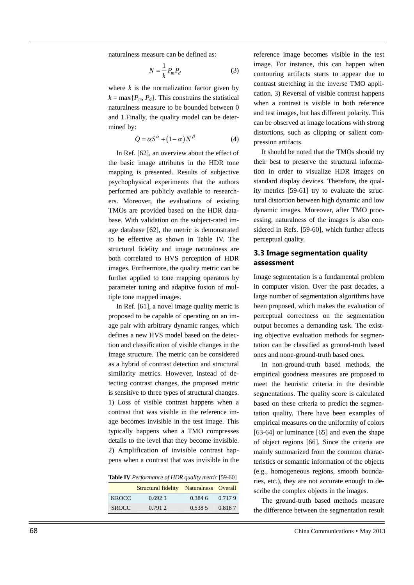naturalness measure can be defined as:

$$
N = \frac{1}{k} P_m P_d \tag{3}
$$

where  $k$  is the normalization factor given by  $k = \max\{P_m, P_d\}$ . This constrains the statistical naturalness measure to be bounded between 0 and 1.Finally, the quality model can be determined by:

$$
Q = \alpha S^{\alpha} + (1 - \alpha) N^{\beta} \tag{4}
$$

In Ref. [62], an overview about the effect of the basic image attributes in the HDR tone mapping is presented. Results of subjective psychophysical experiments that the authors performed are publicly available to researchers. Moreover, the evaluations of existing TMOs are provided based on the HDR database. With validation on the subject-rated image database [62], the metric is demonstrated to be effective as shown in Table IV. The structural fidelity and image naturalness are both correlated to HVS perception of HDR images. Furthermore, the quality metric can be further applied to tone mapping operators by parameter tuning and adaptive fusion of multiple tone mapped images.

In Ref. [61], a novel image quality metric is proposed to be capable of operating on an image pair with arbitrary dynamic ranges, which defines a new HVS model based on the detection and classification of visible changes in the image structure. The metric can be considered as a hybrid of contrast detection and structural similarity metrics. However, instead of detecting contrast changes, the proposed metric is sensitive to three types of structural changes. 1) Loss of visible contrast happens when a contrast that was visible in the reference image becomes invisible in the test image. This typically happens when a TMO compresses details to the level that they become invisible. 2) Amplification of invisible contrast happens when a contrast that was invisible in the

**Table IV** *Performance of HDR quality metric* [59-60]

|              | Structural fidelity | Naturalness Overall |        |
|--------------|---------------------|---------------------|--------|
| <b>KROCC</b> | 0.6923              | $0.384\ 6$          | 0.7179 |
| <b>SROCC</b> | 0.7912              | 0.538.5             | 0.8187 |

reference image becomes visible in the test image. For instance, this can happen when contouring artifacts starts to appear due to contrast stretching in the inverse TMO application. 3) Reversal of visible contrast happens when a contrast is visible in both reference and test images, but has different polarity. This can be observed at image locations with strong distortions, such as clipping or salient compression artifacts.

It should be noted that the TMOs should try their best to preserve the structural information in order to visualize HDR images on standard display devices. Therefore, the quality metrics [59-61] try to evaluate the structural distortion between high dynamic and low dynamic images. Moreover, after TMO processing, naturalness of the images is also considered in Refs. [59-60], which further affects perceptual quality.

## **3.3 Image segmentation quality assessment**

Image segmentation is a fundamental problem in computer vision. Over the past decades, a large number of segmentation algorithms have been proposed, which makes the evaluation of perceptual correctness on the segmentation output becomes a demanding task. The existing objective evaluation methods for segmentation can be classified as ground-truth based ones and none-ground-truth based ones.

In non-ground-truth based methods, the empirical goodness measures are proposed to meet the heuristic criteria in the desirable segmentations. The quality score is calculated based on these criteria to predict the segmentation quality. There have been examples of empirical measures on the uniformity of colors [63-64] or luminance [65] and even the shape of object regions [66]. Since the criteria are mainly summarized from the common characteristics or semantic information of the objects (e.g., homogeneous regions, smooth boundaries, etc.), they are not accurate enough to describe the complex objects in the images.

The ground-truth based methods measure the difference between the segmentation result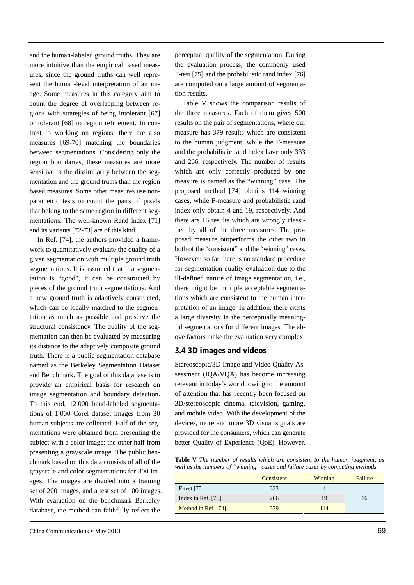and the human-labeled ground truths. They are more intuitive than the empirical based measures, since the ground truths can well represent the human-level interpretation of an image. Some measures in this category aim to count the degree of overlapping between regions with strategies of being intolerant [67] or tolerant [68] to region refinement. In contrast to working on regions, there are also measures [69-70] matching the boundaries between segmentations. Considering only the region boundaries, these measures are more sensitive to the dissimilarity between the segmentation and the ground truths than the region based measures. Some other measures use nonparametric tests to count the pairs of pixels that belong to the same region in different segmentations. The well-known Rand index [71] and its variants [72-73] are of this kind.

In Ref. [74], the authors provided a framework to quantitatively evaluate the quality of a given segmentation with multiple ground truth segmentations. It is assumed that if a segmentation is "good", it can be constructed by pieces of the ground truth segmentations. And a new ground truth is adaptively constructed, which can be locally matched to the segmentation as much as possible and preserve the structural consistency. The quality of the segmentation can then be evaluated by measuring its distance to the adaptively composite ground truth. There is a public segmentation database named as the Berkeley Segmentation Dataset and Benchmark. The goal of this database is to provide an empirical basis for research on image segmentation and boundary detection. To this end, 12 000 hand-labeled segmentations of 1 000 Corel dataset images from 30 human subjects are collected. Half of the segmentations were obtained from presenting the subject with a color image; the other half from presenting a grayscale image. The public benchmark based on this data consists of all of the grayscale and color segmentations for 300 images. The images are divided into a training set of 200 images, and a test set of 100 images. With evaluation on the benchmark Berkeley database, the method can faithfully reflect the

perceptual quality of the segmentation. During the evaluation process, the commonly used F-test [75] and the probabilistic rand index [76] are computed on a large amount of segmentation results.

Table V shows the comparison results of the three measures. Each of them gives 500 results on the pair of segmentations, where our measure has 379 results which are consistent to the human judgment, while the F-measure and the probabilistic rand index have only 333 and 266, respectively. The number of results which are only correctly produced by one measure is named as the "winning" case. The proposed method [74] obtains 114 winning cases, while F-measure and probabilistic rand index only obtain 4 and 19, respectively. And there are 16 results which are wrongly classified by all of the three measures. The proposed measure outperforms the other two in both of the "consistent" and the "winning" cases. However, so far there is no standard procedure for segmentation quality evaluation due to the ill-defined nature of image segmentation, i.e., there might be multiple acceptable segmentations which are consistent to the human interpretation of an image. In addition, there exists a large diversity in the perceptually meaningful segmentations for different images. The above factors make the evaluation very complex.

#### **3.4 3D images and videos**

Stereoscopic/3D Image and Video Quality Assessment (IQA/VQA) has become increasing relevant in today's world, owing to the amount of attention that has recently been focused on 3D/stereoscopic cinema, television, gaming, and mobile video. With the development of the devices, more and more 3D visual signals are provided for the consumers, which can generate better Quality of Experience (QoE). However,

**Table V** *The number of results which are consistent to the human judgment, as well as the numbers of "winning" cases and failure cases by competing methods*

|                     | Consistent | Winning | Failure |
|---------------------|------------|---------|---------|
| $F-test [75]$       | 333        |         |         |
| Index in Ref. [76]  | 266        | 19      | 16      |
| Method in Ref. [74] | 379        | 114     |         |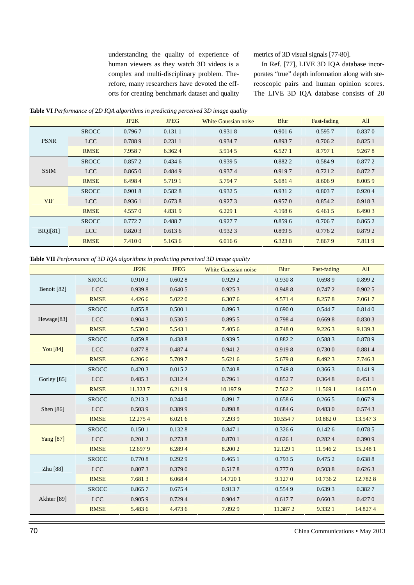understanding the quality of experience of human viewers as they watch 3D videos is a complex and multi-disciplinary problem. Therefore, many researchers have devoted the efforts for creating benchmark dataset and quality

metrics of 3D visual signals [77-80].

In Ref. [77], LIVE 3D IQA database incorporates "true" depth information along with stereoscopic pairs and human opinion scores. The LIVE 3D IQA database consists of 20

**Table VI** *Performance of* 2*D IQA algorithms in predicting perceived* 3*D image quality*

|                 |              | JP2K    | <b>JPEG</b> | White Gaussian noise | <b>Blur</b> | Fast-fading | All     |
|-----------------|--------------|---------|-------------|----------------------|-------------|-------------|---------|
|                 | <b>SROCC</b> | 0.7967  | 0.1311      | 0.9318               | 0.9016      | 0.5957      | 0.8370  |
| <b>PSNR</b>     | <b>LCC</b>   | 0.7889  | 0.2311      | 0.9347               | 0.8937      | 0.7062      | 0.8251  |
|                 | <b>RMSE</b>  | 7.9587  | 6.3624      | 5.9145               | 6.5271      | 8.7971      | 9.2678  |
|                 | <b>SROCC</b> | 0.8572  | 0.4346      | 0.9395               | 0.8822      | 0.5849      | 0.877 2 |
| <b>SSIM</b>     | <b>LCC</b>   | 0.8650  | 0.4849      | 0.9374               | 0.9197      | 0.7212      | 0.8727  |
|                 | <b>RMSE</b>  | 6.4984  | 5.7191      | 5.7947               | 5.6814      | 8.6069      | 8.0059  |
|                 | <b>SROCC</b> | 0.9018  | 0.5828      | 0.9325               | 0.9312      | 0.8037      | 0.9204  |
| <b>VIF</b>      | <b>LCC</b>   | 0.9361  | 0.6738      | 0.9273               | 0.9570      | 0.8542      | 0.9183  |
|                 | <b>RMSE</b>  | 4.5570  | 4.8319      | 6.229 1              | 4.1986      | 6.461 5     | 6.490 3 |
|                 | <b>SROCC</b> | 0.772.7 | 0.4887      | 0.9277               | 0.8596      | 0.7067      | 0.8652  |
| <b>BIQI[81]</b> | <b>LCC</b>   | 0.8203  | 0.6136      | 0.9323               | 0.8995      | 0.7762      | 0.879 2 |
|                 | <b>RMSE</b>  | 7.4100  | 5.1636      | 6.0166               | 6.3238      | 7.8679      | 7.8119  |

**Table VII** *Performance of* 3*D IQA algorithms in predicting perceived* 3*D image quality* 

|             |                   | JP2K    | <b>JPEG</b> | <b>White Gaussian noise</b> | <b>Blur</b> | Fast-fading | All      |
|-------------|-------------------|---------|-------------|-----------------------------|-------------|-------------|----------|
|             | <b>SROCC</b>      | 0.9103  | 0.6028      | 0.929 2                     | 0.9308      | 0.6989      | 0.8992   |
| Benoit [82] | <b>LCC</b>        | 0.9398  | 0.6405      | 0.9253                      | 0.9488      | 0.7472      | 0.9025   |
|             | <b>RMSE</b>       | 4.4266  | 5.022 0     | 6.307 6                     | 4.5714      | 8.2578      | 7.0617   |
|             | <b>SROCC</b>      | 0.8558  | 0.500 1     | 0.8963                      | 0.6900      | 0.5447      | 0.8140   |
| Hewage[83]  | <b>LCC</b>        | 0.9043  | 0.530 5     | 0.895 5                     | 0.7984      | 0.6698      | 0.8303   |
|             | <b>RMSE</b>       | 5.5300  | 5.543 1     | 7.405 6                     | 8.7480      | 9.2263      | 9.1393   |
|             | <b>SROCC</b>      | 0.8598  | 0.4388      | 0.939 5                     | 0.8822      | 0.5883      | 0.8789   |
| You [84]    | $_{\mathrm{LCC}}$ | 0.8778  | 0.4874      | 0.9412                      | 0.9198      | 0.7300      | 0.8814   |
|             | <b>RMSE</b>       | 6.2066  | 5.7097      | 5.6216                      | 5.6798      | 8.4923      | 7.7463   |
|             | <b>SROCC</b>      | 0.4203  | 0.0152      | 0.7408                      | 0.7498      | 0.3663      | 0.1419   |
| Gorley [85] | LCC               | 0.4853  | 0.3124      | 0.7961                      | 0.8527      | 0.3648      | 0.4511   |
|             | <b>RMSE</b>       | 11.3237 | 6.2119      | 10.1979                     | 7.5622      | 11.569 1    | 14.6350  |
|             | <b>SROCC</b>      | 0.2133  | 0.2440      | 0.8917                      | 0.6586      | 0.2665      | 0.0679   |
| Shen $[86]$ | <b>LCC</b>        | 0.5039  | 0.3899      | 0.8988                      | 0.6846      | 0.4830      | 0.5743   |
|             | <b>RMSE</b>       | 12.2754 | 6.0216      | 7.2939                      | 10.5547     | 10.8820     | 13.5473  |
|             | <b>SROCC</b>      | 0.150 1 | 0.1328      | 0.8471                      | 0.3266      | 0.1426      | 0.078 5  |
| Yang [87]   | <b>LCC</b>        | 0.2012  | 0.2738      | 0.870 1                     | 0.6261      | 0.2824      | 0.3909   |
|             | <b>RMSE</b>       | 12.6979 | 6.2894      | 8.200 2                     | 12.129 1    | 11.9462     | 15.248 1 |
|             | <b>SROCC</b>      | 0.7708  | 0.2929      | 0.4651                      | 0.793 5     | 0.475 2     | 0.6388   |
| Zhu [88]    | LCC               | 0.8073  | 0.3790      | 0.5178                      | 0.7770      | 0.5038      | 0.6263   |
|             | <b>RMSE</b>       | 7.6813  | 6.0684      | 14.720 1                    | 9.1270      | 10.7362     | 12.7828  |
|             | <b>SROCC</b>      | 0.8657  | 0.6754      | 0.9137                      | 0.5549      | 0.6393      | 0.3827   |
| Akhter [89] | $_{\mathrm{LCC}}$ | 0.9059  | 0.7294      | 0.9047                      | 0.6177      | 0.6603      | 0.4270   |
|             | <b>RMSE</b>       | 5.4836  | 4.4736      | 7.0929                      | 11.3872     | 9.3321      | 14.8274  |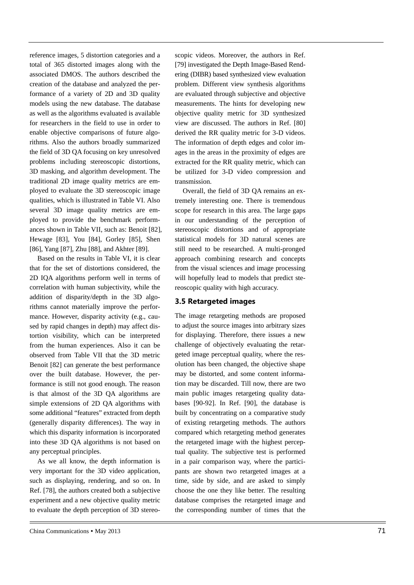reference images, 5 distortion categories and a total of 365 distorted images along with the associated DMOS. The authors described the creation of the database and analyzed the performance of a variety of 2D and 3D quality models using the new database. The database as well as the algorithms evaluated is available for researchers in the field to use in order to enable objective comparisons of future algorithms. Also the authors broadly summarized the field of 3D QA focusing on key unresolved problems including stereoscopic distortions, 3D masking, and algorithm development. The traditional 2D image quality metrics are employed to evaluate the 3D stereoscopic image qualities, which is illustrated in Table VI. Also several 3D image quality metrics are employed to provide the benchmark performances shown in Table VII, such as: Benoit [82], Hewage [83], You [84], Gorley [85], Shen [86], Yang [87], Zhu [88], and Akhter [89].

Based on the results in Table VI, it is clear that for the set of distortions considered, the 2D IQA algorithms perform well in terms of correlation with human subjectivity, while the addition of disparity/depth in the 3D algorithms cannot materially improve the performance. However, disparity activity (e.g., caused by rapid changes in depth) may affect distortion visibility, which can be interpreted from the human experiences. Also it can be observed from Table VII that the 3D metric Benoit [82] can generate the best performance over the built database. However, the performance is still not good enough. The reason is that almost of the 3D QA algorithms are simple extensions of 2D QA algorithms with some additional "features" extracted from depth (generally disparity differences). The way in which this disparity information is incorporated into these 3D QA algorithms is not based on any perceptual principles.

As we all know, the depth information is very important for the 3D video application, such as displaying, rendering, and so on. In Ref. [78], the authors created both a subjective experiment and a new objective quality metric to evaluate the depth perception of 3D stereoscopic videos. Moreover, the authors in Ref. [79] investigated the Depth Image-Based Rendering (DIBR) based synthesized view evaluation problem. Different view synthesis algorithms are evaluated through subjective and objective measurements. The hints for developing new objective quality metric for 3D synthesized view are discussed. The authors in Ref. [80] derived the RR quality metric for 3-D videos. The information of depth edges and color images in the areas in the proximity of edges are extracted for the RR quality metric, which can be utilized for 3-D video compression and transmission.

Overall, the field of 3D QA remains an extremely interesting one. There is tremendous scope for research in this area. The large gaps in our understanding of the perception of stereoscopic distortions and of appropriate statistical models for 3D natural scenes are still need to be researched. A multi-pronged approach combining research and concepts from the visual sciences and image processing will hopefully lead to models that predict stereoscopic quality with high accuracy.

## **3.5 Retargeted images**

The image retargeting methods are proposed to adjust the source images into arbitrary sizes for displaying. Therefore, there issues a new challenge of objectively evaluating the retargeted image perceptual quality, where the resolution has been changed, the objective shape may be distorted, and some content information may be discarded. Till now, there are two main public images retargeting quality databases [90-92]. In Ref. [90], the database is built by concentrating on a comparative study of existing retargeting methods. The authors compared which retargeting method generates the retargeted image with the highest perceptual quality. The subjective test is performed in a pair comparison way, where the participants are shown two retargeted images at a time, side by side, and are asked to simply choose the one they like better. The resulting database comprises the retargeted image and the corresponding number of times that the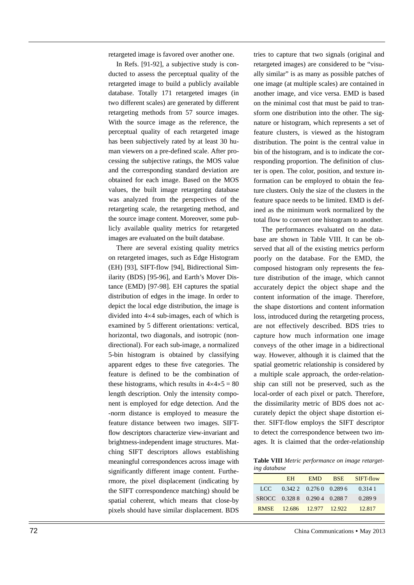retargeted image is favored over another one.

In Refs. [91-92], a subjective study is conducted to assess the perceptual quality of the retargeted image to build a publicly available database. Totally 171 retargeted images (in two different scales) are generated by different retargeting methods from 57 source images. With the source image as the reference, the perceptual quality of each retargeted image has been subjectively rated by at least 30 human viewers on a pre-defined scale. After processing the subjective ratings, the MOS value and the corresponding standard deviation are obtained for each image. Based on the MOS values, the built image retargeting database was analyzed from the perspectives of the retargeting scale, the retargeting method, and the source image content. Moreover, some publicly available quality metrics for retargeted images are evaluated on the built database.

There are several existing quality metrics on retargeted images, such as Edge Histogram (EH) [93], SIFT-flow [94], Bidirectional Similarity (BDS) [95-96], and Earth's Mover Distance (EMD) [97-98]. EH captures the spatial distribution of edges in the image. In order to depict the local edge distribution, the image is divided into 4×4 sub-images, each of which is examined by 5 different orientations: vertical, horizontal, two diagonals, and isotropic (nondirectional). For each sub-image, a normalized 5-bin histogram is obtained by classifying apparent edges to these five categories. The feature is defined to be the combination of these histograms, which results in  $4 \times 4 \times 5 = 80$ length description. Only the intensity component is employed for edge detection. And the -norm distance is employed to measure the feature distance between two images. SIFTflow descriptors characterize view-invariant and brightness-independent image structures. Matching SIFT descriptors allows establishing meaningful correspondences across image with significantly different image content. Furthermore, the pixel displacement (indicating by the SIFT correspondence matching) should be spatial coherent, which means that close-by pixels should have similar displacement. BDS

tries to capture that two signals (original and retargeted images) are considered to be "visually similar" is as many as possible patches of one image (at multiple scales) are contained in another image, and vice versa. EMD is based on the minimal cost that must be paid to transform one distribution into the other. The signature or histogram, which represents a set of feature clusters, is viewed as the histogram distribution. The point is the central value in bin of the histogram, and is to indicate the corresponding proportion. The definition of cluster is open. The color, position, and texture information can be employed to obtain the feature clusters. Only the size of the clusters in the feature space needs to be limited. EMD is defined as the minimum work normalized by the total flow to convert one histogram to another.

The performances evaluated on the database are shown in Table VIII. It can be observed that all of the existing metrics perform poorly on the database. For the EMD, the composed histogram only represents the feature distribution of the image, which cannot accurately depict the object shape and the content information of the image. Therefore, the shape distortions and content information loss, introduced during the retargeting process, are not effectively described. BDS tries to capture how much information one image conveys of the other image in a bidirectional way. However, although it is claimed that the spatial geometric relationship is considered by a multiple scale approach, the order-relationship can still not be preserved, such as the local-order of each pixel or patch. Therefore, the dissimilarity metric of BDS does not accurately depict the object shape distortion either. SIFT-flow employs the SIFT descriptor to detect the correspondence between two images. It is claimed that the order-relationship

**Table VIII** *Metric performance on image retargeting database* 

|       | EH                        | EMD | <b>BSE</b> | SIFT-flow                             |
|-------|---------------------------|-----|------------|---------------------------------------|
| LCC = |                           |     |            | $0.3422$ $0.2760$ $0.2896$ $0.3141$   |
|       |                           |     |            | SROCC 0.328 8 0.290 4 0.288 7 0.289 9 |
|       | RMSE 12.686 12.977 12.922 |     |            | 12.817                                |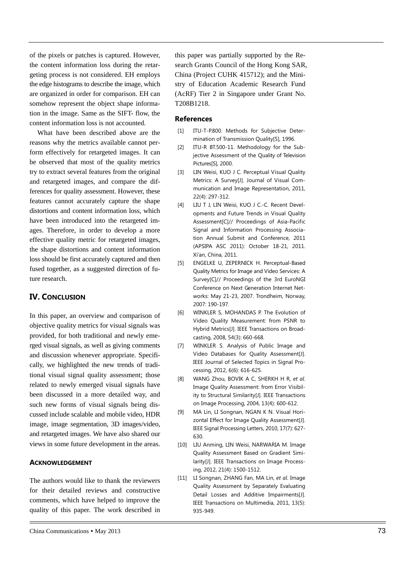of the pixels or patches is captured. However, the content information loss during the retargeting process is not considered. EH employs the edge histograms to describe the image, which are organized in order for comparison. EH can somehow represent the object shape information in the image. Same as the SIFT- flow, the content information loss is not accounted.

What have been described above are the reasons why the metrics available cannot perform effectively for retargeted images. It can be observed that most of the quality metrics try to extract several features from the original and retargeted images, and compare the differences for quality assessment. However, these features cannot accurately capture the shape distortions and content information loss, which have been introduced into the retargeted images. Therefore, in order to develop a more effective quality metric for retargeted images, the shape distortions and content information loss should be first accurately captured and then fused together, as a suggested direction of future research.

# **IV. CONCLUSION**

In this paper, an overview and comparison of objective quality metrics for visual signals was provided, for both traditional and newly emerged visual signals, as well as giving comments and discussion whenever appropriate. Specifically, we highlighted the new trends of traditional visual signal quality assessment; those related to newly emerged visual signals have been discussed in a more detailed way, and such new forms of visual signals being discussed include scalable and mobile video, HDR image, image segmentation, 3D images/video, and retargeted images. We have also shared our views in some future development in the areas.

#### **ACKNOWLEDGEMENT**

 $\overline{a}$ 

The authors would like to thank the reviewers for their detailed reviews and constructive comments, which have helped to improve the quality of this paper. The work described in

this paper was partially supported by the Research Grants Council of the Hong Kong SAR, China (Project CUHK 415712); and the Ministry of Education Academic Research Fund (AcRF) Tier 2 in Singapore under Grant No. T208B1218.

#### **References**

- [1] ITU-T-P.800. Methods for Subjective Determination of Transmission Quality[S], 1996.
- [2] ITU-R BT.500-11. Methodology for the Subjective Assessment of the Quality of Television Pictures[S], 2000.
- [3] LIN Weisi, KUO J C. Perceptual Visual Quality Metrics: A Survey[J]. Journal of Visual Communication and Image Representation, 2011, 22(4): 297-312.
- [4] LIU T J, LIN Weisi, KUO J C .- C. Recent Developments and Future Trends in Visual Quality Assessment[C]// Proceedings of Asia-Pacific Signal and Information Processing Association Annual Submit and Conference, 2011 (APSIPA ASC 2011): October 18-21, 2011. Xi'an, China, 2011.
- [5] ENGELKE U, ZEPERNICK H. Perceptual-Based Quality Metrics for Image and Video Services: A Survey[C]// Proceedings of the 3rd EuroNGI Conference on Next Generation Internet Networks: May 21-23, 2007. Trondheim, Norway, 2007: 190-197.
- [6] WINKLER S, MOHANDAS P. The Evolution of Video Quality Measurement: from PSNR to Hybrid Metrics[J]. IEEE Transactions on Broadcasting, 2008, 54(3): 660-668.
- [7] WINKLER S. Analysis of Public Image and Video Databases for Quality Assessment[J]. IEEE Journal of Selected Topics in Signal Processing, 2012, 6(6): 616-625.
- [8] WANG Zhou, BOVIK A C, SHERKH H R, *et al*. Image Quality Assessment: from Error Visibility to Structural Similarity[J]. IEEE Transactions on Image Processing, 2004, 13(4): 600-612.
- [9] MA Lin, LI Songnan, NGAN K N. Visual Horizontal Effect for Image Quality Assessment[J]. IEEE Signal Processing Letters, 2010, 17(7): 627- 630.
- [10] LIU Anming, LIN Weisi, NARWARIA M. Image Quality Assessment Based on Gradient Similarity[J]. IEEE Transactions on Image Processing, 2012, 21(4): 1500-1512.
- [11] LI Songnan, ZHANG Fan, MA Lin, *et al*. Image Quality Assessment by Separately Evaluating Detail Losses and Additive Impairments[J]. IEEE Transactions on Multimedia, 2011, 13(5): 935-949.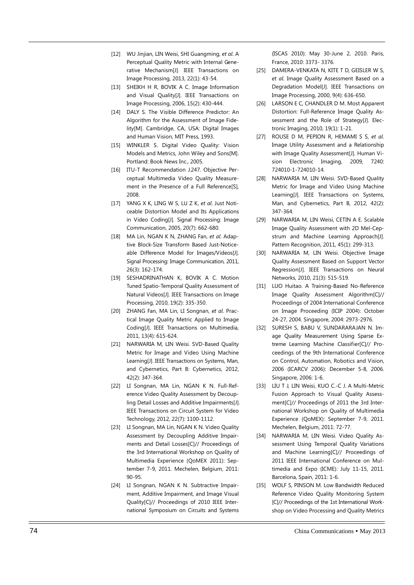- [12] WU Jinjian, LIN Weisi, SHI Guangming, *et al*. A Perceptual Quality Metric with Internal Generative Mechanism[J]. IEEE Transactions on Image Processing, 2013, 22(1): 43-54.
- [13] SHEIKH H R, BOVIK A C. Image Information and Visual Quality[J]. IEEE Transactions on Image Processing, 2006, 15(2): 430-444.
- [14] DALY S. The Visible Difference Predictor: An Algorithm for the Assessment of Image Fidelity[M]. Cambridge, CA, USA: Digital Images and Human Vision, MIT Press, 1993.
- [15] WINKLER S. Digital Video Quality: Vision Models and Metrics, John Wiley and Sons[M]. Portland: Book News Inc., 2005.
- [16] ITU-T Recommendation J.247. Objective Perceptual Multimedia Video Quality Measurement in the Presence of a Full Reference[S], 2008.
- [17] YANG X K, LING W S, LU Z K, *et al*. Just Noticeable Distortion Model and Its Applications in Video Coding[J]. Signal Processing: Image Communication, 2005, 20(7): 662-680.
- [18] MA Lin, NGAN K N, ZHANG Fan, *et al*. Adaptive Block-Size Transform Based Just-Noticeable Difference Model for Images/Videos[J]. Signal Processing: Image Communication, 2011, 26(3): 162-174.
- [19] SESHADRINATHAN K, BOVIK A C. Motion Tuned Spatio-Temporal Quality Assessment of Natural Videos[J]. IEEE Transactions on Image Processing, 2010, 19(2): 335-350.
- [20] ZHANG Fan, MA Lin, LI Songnan, *et al*. Practical Image Quality Metric Applied to Image Coding[J]. IEEE Transactions on Multimedia, 2011, 13(4): 615-624.
- [21] NARWARIA M, LIN Weisi. SVD-Based Quality Metric for Image and Video Using Machine Learning[J]. IEEE Transactions on Systems, Man, and Cybernetics, Part B: Cybernetics, 2012, 42(2): 347-364.
- [22] LI Songnan, MA Lin, NGAN K N. Full-Reference Video Quality Assessment by Decoupling Detail Losses and Additive Impairments[J]. IEEE Transactions on Circuit System for Video Technology, 2012, 22(7): 1100-1112.
- [23] LI Songnan, MA Lin, NGAN K N. Video Quality Assessment by Decoupling Additive Impairments and Detail Losses[C]// Proceedings of the 3rd International Workshop on Quality of Multimedia Experience (QoMEX 2011): September 7-9, 2011. Mechelen, Belgium, 2011: 90-95.
- [24] LI Songnan, NGAN K N. Subtractive Impairment, Additive Impairment, and Image Visual Quality[C]// Proceedings of 2010 IEEE International Symposium on Circuits and Systems

(ISCAS 2010): May 30-June 2, 2010. Paris, France, 2010: 3373- 3376.

- [25] DAMERA-VENKATA N, KITE T D, GEISLER W S, *et al*. Image Quality Assessment Based on a Degradation Model[J]. IEEE Transactions on Image Processing, 2000, 9(4): 636-650.
- [26] LARSON E C, CHANDLER D M. Most Apparent Distortion: Full-Reference Image Quality Assessment and the Role of Strategy[J]. Electronic Imaging, 2010, 19(1): 1-21.
- [27] ROUSE D M, PEPION R, HEMAMI S S, *et al*. Image Utility Assessment and a Relationship with Image Quality Assessment[J]. Human Vision Electronic Imaging, 2009, 7240: 724010-1-724010-14.
- [28] NARWARIA M, LIN Weisi. SVD-Based Quality Metric for Image and Video Using Machine Learning[J]. IEEE Transactions on Systems, Man, and Cybernetics, Part B, 2012, 42(2): 347-364.
- [29] NARWARIA M, LIN Weisi, CETIN A E. Scalable Image Quality Assessment with 2D Mel-Cepstrum and Machine Learning Approach[J]. Pattern Recognition, 2011, 45(1): 299-313.
- [30] NARWARIA M, LIN Weisi. Objective Image Quality Assessment Based on Support Vector Regression[J]. IEEE Transactions on Neural Networks, 2010, 21(3): 515-519.
- [31] LUO Huitao. A Training-Based No-Reference Image Quality Assessment Algorithm[C]// Proceedings of 2004 International Conference on Image Proceeding (ICIP 2004): October 24-27, 2004. Singapore, 2004: 2973-2976.
- [32] SURESH S, BABU V, SUNDARARAJAN N. Image Quality Measurement Using Sparse Extreme Learning Machine Classifier[C]// Proceedings of the 9th International Conference on Control, Automation, Robotics and Vision, 2006 (ICARCV 2006): December 5-8, 2006. Singapore, 2006: 1-6.
- [33] LIU T J, LIN Weisi, KUO C.-C J. A Multi-Metric Fusion Approach to Visual Quality Assessment[C]// Proceedings of 2011 the 3rd International Workshop on Quality of Multimedia Experience (QoMEX): September 7-9, 2011. Mechelen, Belgium, 2011: 72-77.
- [34] NARWARIA M, LIN Weisi. Video Quality Assessment Using Temporal Quality Variations and Machine Learning[C]// Proceedings of 2011 IEEE International Conference on Multimedia and Expo (ICME): July 11-15, 2011. Barcelona, Spain, 2011: 1-6.
- [35] WOLF S, PINSON M. Low Bandwidth Reduced Reference Video Quality Monitoring System [C]// Proceedings of the 1st International Workshop on Video Processing and Quality Metrics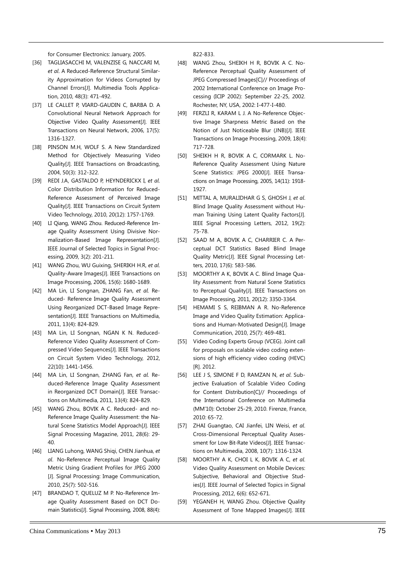for Consumer Electronics: January, 2005.

- [36] TAGLIASACCHI M, VALENZISE G, NACCARI M, *et al*. A Reduced-Reference Structural Similarity Approximation for Videos Corrupted by Channel Errors[J]. Multimedia Tools Application, 2010, 48(3): 471-492.
- [37] LE CALLET P, VIARD-GAUDIN C, BARBA D. A Convolutional Neural Network Approach for Objective Video Quality Assessment[J]. IEEE Transactions on Neural Network, 2006, 17(5): 1316-1327.
- [38] PINSON M.H, WOLF S. A New Standardized Method for Objectively Measuring Video Quality[J]. IEEE Transactions on Broadcasting, 2004, 50(3): 312-322.
- [39] REDI J.A, GASTALDO P, HEYNDERICKX I, *et al*. Color Distribution Information for Reduced-Reference Assessment of Perceived Image Quality[J]. IEEE Transactions on Circuit System Video Technology, 2010, 20(12): 1757-1769.
- [40] LI Qiang, WANG Zhou. Reduced-Reference Image Quality Assessment Using Divisive Normalization-Based Image Representation[J]. IEEE Journal of Selected Topics in Signal Processing, 2009, 3(2): 201-211.
- [41] WANG Zhou, WU Guixing, SHERIKH H.R, *et al*. Quality-Aware Images[J]. IEEE Transactions on Image Processing, 2006, 15(6): 1680-1689.
- [42] MA Lin, LI Songnan, ZHANG Fan, *et al*. Reduced- Reference Image Quality Assessment Using Reorganized DCT-Based Image Representation[J]. IEEE Transactions on Multimedia, 2011, 13(4): 824-829.
- [43] MA Lin, LI Songnan, NGAN K N. Reduced-Reference Video Quality Assessment of Compressed Video Sequences[J]. IEEE Transactions on Circuit System Video Technology, 2012, 22(10): 1441-1456.
- [44] MA Lin, LI Songnan, ZHANG Fan, *et al*. Reduced-Reference Image Quality Assessment in Reorganized DCT Domain[J]. IEEE Transactions on Multimedia, 2011, 13(4): 824-829.
- [45] WANG Zhou, BOVIK A C. Reduced- and no-Reference Image Quality Assessment: the Natural Scene Statistics Model Approach[J]. IEEE Signal Processing Magazine, 2011, 28(6): 29- 40.
- [46] LIANG Luhong, WANG Shiqi, CHEN Jianhua, *et al*. No-Reference Perceptual Image Quality Metric Using Gradient Profiles for JPEG 2000 [J]. Signal Processing: Image Communication, 2010, 25(7): 502-516.
- [47] BRANDAO T, QUELUZ M P. No-Reference Image Quality Assessment Based on DCT Domain Statistics[J]. Signal Processing, 2008, 88(4):

822-833.

- [48] WANG Zhou, SHEIKH H R, BOVIK A C. No-Reference Perceptual Quality Assessment of JPEG Compressed Images[C]// Proceedings of 2002 International Conference on Image Processing (ICIP 2002): September 22-25, 2002. Rochester, NY, USA, 2002: I-477-I-480.
- [49] FERZLI R, KARAM L J. A No-Reference Objective Image Sharpness Metric Based on the Notion of Just Noticeable Blur (JNB)[J]. IEEE Transactions on Image Processing, 2009, 18(4): 717-728.
- [50] SHEIKH H R, BOVIK A C, CORMARK L. No-Reference Quality Assessment Using Nature Scene Statistics: JPEG 2000[J]. IEEE Transactions on Image Processing, 2005, 14(11): 1918- 1927.
- [51] MITTAL A, MURALIDHAR G S, GHOSH J, *et al*. Blind Image Quality Assessment without Human Training Using Latent Quality Factors[J]. IEEE Signal Processing Letters, 2012, 19(2): 75-78.
- [52] SAAD M A, BOVIK A C, CHARRIER C. A Perceptual DCT Statistics Based Blind Image Quality Metric[J]. IEEE Signal Processing Letters, 2010, 17(6): 583-586.
- [53] MOORTHY A K, BOVIK A C. Blind Image Quality Assessment: from Natural Scene Statistics to Perceptual Quality[J]. IEEE Transactions on Image Processing, 2011, 20(12): 3350-3364.
- [54] HEMAMI S S, REIBMAN A R. No-Reference Image and Video Quality Estimation: Applications and Human-Motivated Design[J]. Image Communication, 2010, 25(7): 469-481.
- [55] Video Coding Experts Group (VCEG). Joint call for proposals on scalable video coding extensions of high efficiency video coding (HEVC) [R]. 2012.
- [56] LEE J S, SIMONE F D, RAMZAN N, *et al*. Subjective Evaluation of Scalable Video Coding for Content Distribution[C]// Proceedings of the International Conference on Multimedia (MM'10): October 25-29, 2010. Firenze, France, 2010: 65-72.
- [57] ZHAI Guangtao, CAI Jianfei, LIN Weisi, *et al*. Cross-Dimensional Perceptual Quality Assessment for Low Bit-Rate Videos[J]. IEEE Transactions on Multimedia, 2008, 10(7): 1316-1324.
- [58] MOORTHY A K, CHOI L K, BOVIK A C, *et al*. Video Quality Assessment on Mobile Devices: Subjective, Behavioral and Objective Studies[J]. IEEE Journal of Selected Topics in Signal Processing, 2012, 6(6): 652-671.
- [59] YEGANEH H, WANG Zhou. Objective Quality Assessment of Tone Mapped Images[J]. IEEE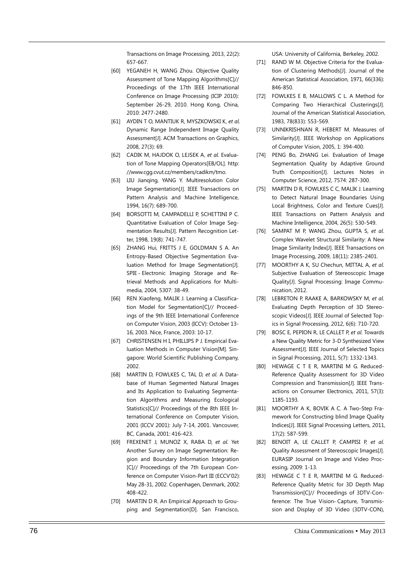Transactions on Image Processing, 2013, 22(2): 657-667.

- [60] YEGANEH H, WANG Zhou. Objective Quality Assessment of Tone Mapping Algorithms[C]// Proceedings of the 17th IEEE International Conference on Image Processing (ICIP 2010): September 26-29, 2010. Hong Kong, China, 2010: 2477-2480.
- [61] AYDIN T O, MANTIUK R, MYSZKOWSKI K, *et al*. Dynamic Range Independent Image Quality Assessment[J]. ACM Transactions on Graphics, 2008, 27(3): 69.
- [62] CADIK M, HAJDOK O, LEJSEK A, *et al*. Evaluation of Tone Mapping Operators[EB/OL]. http: //www.cgg.cvut.cz/members/cadikm/tmo.
- [63] LIU Jianqing, YANG Y. Multiresolution Color Image Segmentation[J]. IEEE Transactions on Pattern Analysis and Machine Intelligence, 1994, 16(7): 689-700.
- [64] BORSOTTI M, CAMPADELLI P, SCHETTINI P C. Quantitative Evaluation of Color Image Segmentation Results[J]. Pattern Recognition Letter, 1998, 19(8): 741-747.
- [65] ZHANG Hui, FRITTS J E, GOLDMAN S A. An Entropy-Based Objective Segmentation Evaluation Method for Image Segmentation[J]. SPIE - Electronic Imaging Storage and Retrieval Methods and Applications for Multimedia, 2004, 5307: 38-49.
- [66] REN Xiaofeng, MALIK J. Learning a Classification Model for Segmentation[C]// Proceedings of the 9th IEEE International Conference on Computer Vision, 2003 (ICCV): October 13- 16, 2003. Nice, France, 2003: 10-17.
- [67] CHRISTENSEN H I, PHILLIPS P J. Empirical Evaluation Methods in Computer Vision[M]. Singapore: World Scientific Publishing Company, 2002.
- [68] MARTIN D, FOWLKES C, TAL D, *et al*. A Database of Human Segmented Natural Images and Its Application to Evaluating Segmentation Algorithms and Measuring Ecological Statistics[C]// Proceedings of the 8th IEEE International Conference on Computer Vision, 2001 (ICCV 2001): July 7-14, 2001. Vancouver, BC, Canada, 2001: 416-423.
- [69] FREXENET J, MUNOZ X, RABA D, *et al*. Yet Another Survey on Image Segmentation: Region and Boundary Information Integration [C]// Proceedings of the 7th European Conference on Computer Vision-Part III (ECCV'02): May 28-31, 2002. Copenhagen, Denmark, 2002: 408-422.
- [70] MARTIN D R. An Empirical Approach to Grouping and Segmentation[D]. San Francisco,

USA: University of California, Berkeley, 2002.

- [71] RAND W M. Objective Criteria for the Evaluation of Clustering Methods[J]. Journal of the American Statistical Association, 1971, 66(336): 846-850.
- [72] FOWLKES E B, MALLOWS C L. A Method for Comparing Two Hierarchical Clusterings[J]. Journal of the American Statistical Association, 1983, 78(833): 553-569.
- [73] UNNIKRISHNAN R, HEBERT M. Measures of Similarity[J]. IEEE Workshop on Applications of Computer Vision, 2005, 1: 394-400.
- [74] PENG Bo, ZHANG Lei. Evaluation of Image Segmentation Quality by Adaptive Ground Truth Composition[J]. Lectures Notes in Computer Science, 2012, 7574: 287-300.
- [75] MARTIN D R, FOWLKES C C, MALIK J. Learning to Detect Natural Image Boundaries Using Local Brightness, Color and Texture Cues[J]. IEEE Transactions on Pattern Analysis and Machine Intelligence, 2004, 26(5): 530-549.
- [76] SAMPAT M P, WANG Zhou, GUPTA S, *et al*. Complex Wavelet Structural Similarity: A New Image Similarity Index[J]. IEEE Transactions on Image Processing, 2009, 18(11): 2385-2401.
- [77] MOORTHY A K, SU Chechun, MITTAL A, *et al*. Subjective Evaluation of Stereoscopic Image Quality[J]. Signal Processing: Image Communication, 2012.
- [78] LEBRETON P, RAAKE A, BARKOWSKY M, *et al*. Evaluating Depth Perception of 3D Stereoscopic Videos[J]. IEEE Journal of Selected Topics in Signal Processing, 2012, 6(6): 710-720.
- [79] BOSC E, PEPION R, LE CALLET P, *et al*. Towards a New Quality Metric for 3-D Synthesized View Assessment[J]. IEEE Journal of Selected Topics in Signal Processing, 2011, 5(7): 1332-1343.
- [80] HEWAGE C T E R, MARTINI M G. Reduced-Reference Quality Assessment for 3D Video Compression and Transmission[J]. IEEE Transactions on Consumer Electronics, 2011, 57(3): 1185-1193.
- [81] MOORTHY A K, BOVIK A C. A Two-Step Framework for Constructing blind Image Quality Indices[J]. IEEE Signal Processing Letters, 2011, 17(2): 587-599.
- [82] BENOIT A, LE CALLET P, CAMPISI P, *et al*. Quality Assessment of Stereoscopic Images[J]. EURASIP Journal on Image and Video Processing, 2009: 1-13.
- [83] HEWAGE C T E R, MARTINI M G. Reduced-Reference Quality Metric for 3D Depth Map Transmission[C]// Proceedings of 3DTV-Conference: The True Vision- Capture, Transmission and Display of 3D Video (3DTV-CON),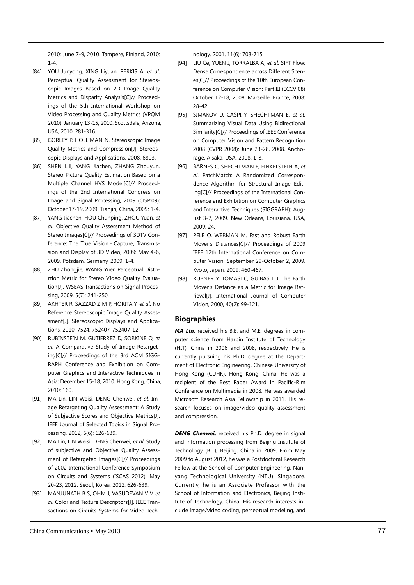2010: June 7-9, 2010. Tampere, Finland, 2010:  $1 - 4$ 

- [84] YOU Junyong, XING Liyuan, PERKIS A, *et al*. Perceptual Quality Assessment for Stereoscopic Images Based on 2D Image Quality Metrics and Disparity Analysis[C]// Proceedings of the 5th International Workshop on Video Processing and Quality Metrics (VPQM 2010): January 13-15, 2010. Scottsdale, Arizona, USA, 2010: 281-316.
- [85] GORLEY P, HOLLIMAN N. Stereoscopic Image Quality Metrics and Compression[J]. Stereoscopic Displays and Applications, 2008, 6803.
- [86] SHEN Lili, YANG Jiachen, ZHANG Zhouyun. Stereo Picture Quality Estimation Based on a Multiple Channel HVS Model[C]// Proceedings of the 2nd International Congress on Image and Signal Processing, 2009 (CISP'09): October 17-19, 2009. Tianjin, China, 2009: 1-4.
- [87] YANG Jiachen, HOU Chunping, ZHOU Yuan, *et al*. Objective Quality Assessment Method of Stereo Images[C]// Proceedings of 3DTV Conference: The True Vision - Capture, Transmission and Display of 3D Video, 2009: May 4-6, 2009. Potsdam, Germany, 2009: 1-4.
- [88] ZHU Zhongjie, WANG Yuer. Perceptual Distortion Metric for Stereo Video Quality Evaluation[J]. WSEAS Transactions on Signal Processing, 2009, 5(7): 241-250.
- [89] AKHTER R, SAZZAD Z M P, HORITA Y, *et al*. No Reference Stereoscopic Image Quality Assessment[J]. Stereoscopic Displays and Applications, 2010, 7524: 752407-752407-12.
- [90] RUBINSTEIN M, GUTIERREZ D, SORKINE O, *et al*. A Comparative Study of Image Retargeting[C]// Proceedings of the 3rd ACM SIGG-RAPH Conference and Exhibition on Computer Graphics and Interactive Techniques in Asia: December 15-18, 2010. Hong Kong, China, 2010: 160.
- [91] MA Lin, LIN Weisi, DENG Chenwei, *et al*. Image Retargeting Quality Assessment: A Study of Subjective Scores and Objective Metrics[J]. IEEE Journal of Selected Topics in Signal Processing, 2012, 6(6): 626-639.
- [92] MA Lin, LIN Weisi, DENG Chenwei, *et al*. Study of subjective and Objective Quality Assessment of Retargeted Images[C]// Proceedings of 2002 International Conference Symposium on Circuits and Systems (ISCAS 2012): May 20-23, 2012. Seoul, Korea, 2012: 626-639.
- [93] MANJUNATH B S, OHM J, VASUDEVAN V V, *et al*. Color and Texture Descriptors[J]. IEEE Transactions on Circuits Systems for Video Tech-

nology, 2001, 11(6): 703-715.

- [94] LIU Ce, YUEN J, TORRALBA A, *et al*. SIFT Flow: Dense Correspondence across Different Scenes[C]// Proceedings of the 10th European Conference on Computer Vision: Part III (ECCV'08): October 12-18, 2008. Marseille, France, 2008: 28-42.
- [95] SIMAKOV D, CASPI Y, SHECHTMAN E, *et al*. Summarizing Visual Data Using Bidirectional Similarity[C]// Proceedings of IEEE Conference on Computer Vision and Pattern Recognition 2008 (CVPR 2008): June 23-28, 2008. Anchorage, Alsaka, USA, 2008: 1-8.
- [96] BARNES C, SHECHTMAN E, FINKELSTEIN A, *et al*. PatchMatch: A Randomized Correspondence Algorithm for Structural Image Editing[C]// Proceedings of the International Conference and Exhibition on Computer Graphics and Interactive Techniques (SIGGRAPH): August 3-7, 2009. New Orleans, Louisiana, USA, 2009: 24.
- [97] PELE O, WERMAN M. Fast and Robust Earth Mover's Distances[C]// Proceedings of 2009 IEEE 12th International Conference on Computer Vision: September 29-October 2, 2009. Kyoto, Japan, 2009: 460-467.
- [98] RUBNER Y, TOMASI C, GUIBAS L J. The Earth Mover's Distance as a Metric for Image Retrieval[J]. International Journal of Computer Vision, 2000, 40(2): 99-121.

### **Biographies**

*MA Lin,* received his B.E. and M.E. degrees in computer science from Harbin Institute of Technology (HIT), China in 2006 and 2008, respectively. He is currently pursuing his Ph.D. degree at the Department of Electronic Engineering, Chinese University of Hong Kong (CUHK), Hong Kong, China. He was a recipient of the Best Paper Award in Pacific-Rim Conference on Multimedia in 2008. He was awarded Microsoft Research Asia Fellowship in 2011. His research focuses on image/video quality assessment and compression.

*DENG Chenwei,* received his Ph.D. degree in signal and information processing from Beijing Institute of Technology (BIT), Beijing, China in 2009. From May 2009 to August 2012, he was a Postdoctoral Research Fellow at the School of Computer Engineering, Nanyang Technological University (NTU), Singapore. Currently, he is an Associate Professor with the School of Information and Electronics, Beijing Institute of Technology, China. His research interests include image/video coding, perceptual modeling, and